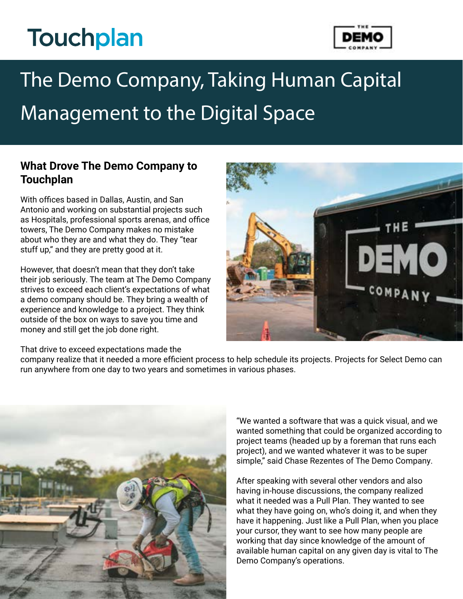# **Touchplan**



## The Demo Company, Taking Human Capital Management to the Digital Space

#### **What Drove The Demo Company to Touchplan**

With offices based in Dallas, Austin, and San Antonio and working on substantial projects such as Hospitals, professional sports arenas, and office towers, The Demo Company makes no mistake about who they are and what they do. They "tear stuff up," and they are pretty good at it.

However, that doesn't mean that they don't take their job seriously. The team at The Demo Company strives to exceed each client's expectations of what a demo company should be. They bring a wealth of experience and knowledge to a project. They think outside of the box on ways to save you time and money and still get the job done right.



That drive to exceed expectations made the

company realize that it needed a more efficient process to help schedule its projects. Projects for Select Demo can run anywhere from one day to two years and sometimes in various phases.



"We wanted a software that was a quick visual, and we wanted something that could be organized according to project teams (headed up by a foreman that runs each project), and we wanted whatever it was to be super simple," said Chase Rezentes of The Demo Company.

After speaking with several other vendors and also having in-house discussions, the company realized what it needed was a Pull Plan. They wanted to see what they have going on, who's doing it, and when they have it happening. Just like a Pull Plan, when you place your cursor, they want to see how many people are working that day since knowledge of the amount of available human capital on any given day is vital to The Demo Company's operations.